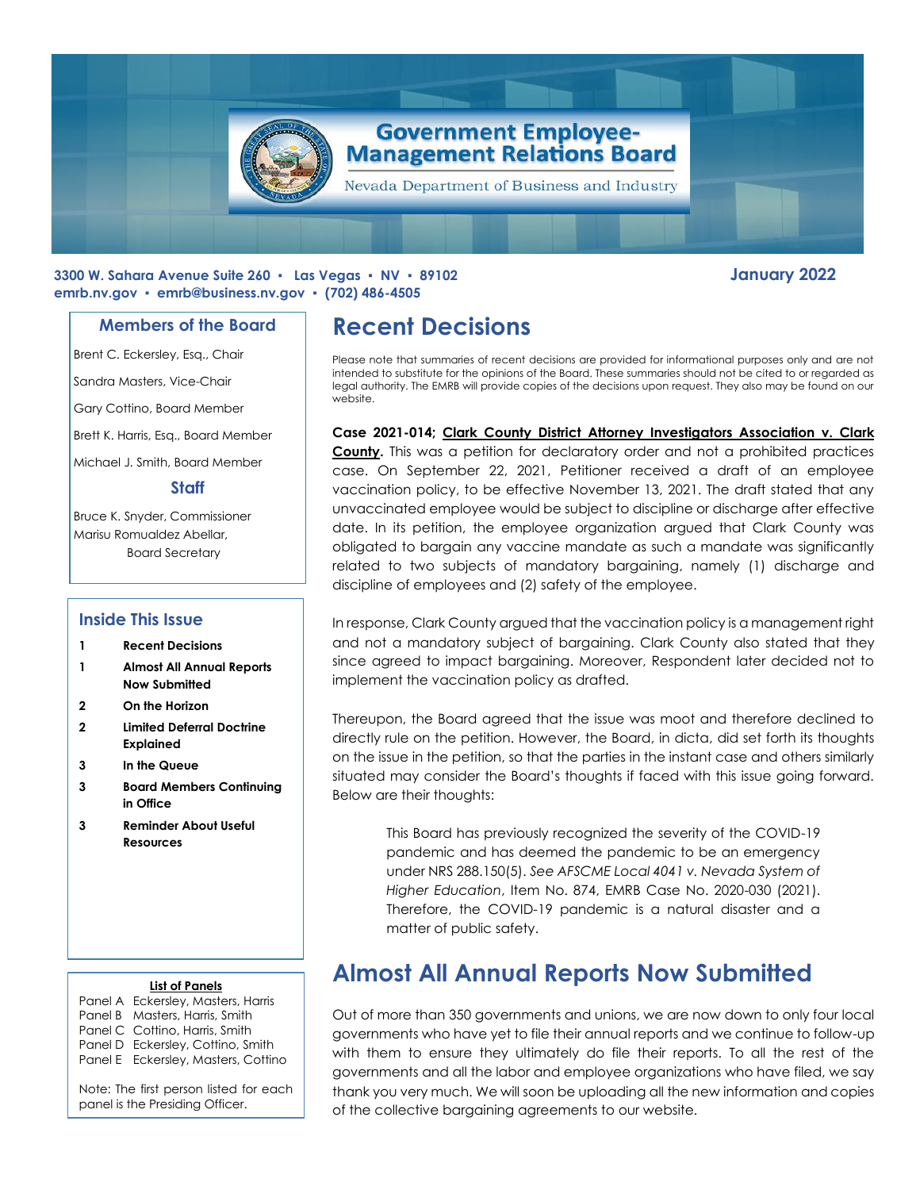

### **3300 W. Sahara Avenue Suite 260 ▪ Las Vegas ▪ NV ▪ 89102 January 2022 emrb.nv.gov ▪ [emrb@business.nv.gov](mailto:emrb@business.nv.gov) ▪ (702) 486-4505**

### **Members of the Board**

Brent C. Eckersley, Esq., Chair

Sandra Masters, Vice-Chair

Gary Cottino, Board Member

Brett K. Harris, Esq., Board Member

Michael J. Smith, Board Member

### **Staff**

Bruce K. Snyder, Commissioner Marisu Romualdez Abellar, Board Secretary

### **Inside This Issue**

- **1 Recent Decisions**
- **1 Almost All Annual Reports Now Submitted**
- **2 On the Horizon**
- **2 Limited Deferral Doctrine Explained**
- **3 In the Queue**
- **3 Board Members Continuing in Office**
- **3 Reminder About Useful Resources**

#### **List of Panels**

Panel A Eckersley, Masters, Harris Panel B Masters, Harris, Smith Panel C Cottino, Harris, Smith Panel D Eckersley, Cottino, Smith Panel E Eckersley, Masters, Cottino

Note: The first person listed for each panel is the Presiding Officer.

# **Recent Decisions**

Please note that summaries of recent decisions are provided for informational purposes only and are not intended to substitute for the opinions of the Board. These summaries should not be cited to or regarded as legal authority. The EMRB will provide copies of the decisions upon request. They also may be found on our website.

**Case 2021-014; Clark County District Attorney Investigators Association v. Clark County.** This was a petition for declaratory order and not a prohibited practices case. On September 22, 2021, Petitioner received a draft of an employee vaccination policy, to be effective November 13, 2021. The draft stated that any unvaccinated employee would be subject to discipline or discharge after effective date. In its petition, the employee organization argued that Clark County was obligated to bargain any vaccine mandate as such a mandate was significantly related to two subjects of mandatory bargaining, namely (1) discharge and discipline of employees and (2) safety of the employee.

In response, Clark County argued that the vaccination policy is a management right and not a mandatory subject of bargaining. Clark County also stated that they since agreed to impact bargaining. Moreover, Respondent later decided not to implement the vaccination policy as drafted.

Thereupon, the Board agreed that the issue was moot and therefore declined to directly rule on the petition. However, the Board, in dicta, did set forth its thoughts on the issue in the petition, so that the parties in the instant case and others similarly situated may consider the Board's thoughts if faced with this issue going forward. Below are their thoughts:

> This Board has previously recognized the severity of the COVID-19 pandemic and has deemed the pandemic to be an emergency under NRS 288.150(5). *See AFSCME Local 4041 v. Nevada System of Higher Education*, Item No. 874, EMRB Case No. 2020-030 (2021). Therefore, the COVID-19 pandemic is a natural disaster and a matter of public safety.

# **Almost All Annual Reports Now Submitted**

Out of more than 350 governments and unions, we are now down to only four local governments who have yet to file their annual reports and we continue to follow-up with them to ensure they ultimately do file their reports. To all the rest of the governments and all the labor and employee organizations who have filed, we say thank you very much. We will soon be uploading all the new information and copies of the collective bargaining agreements to our website.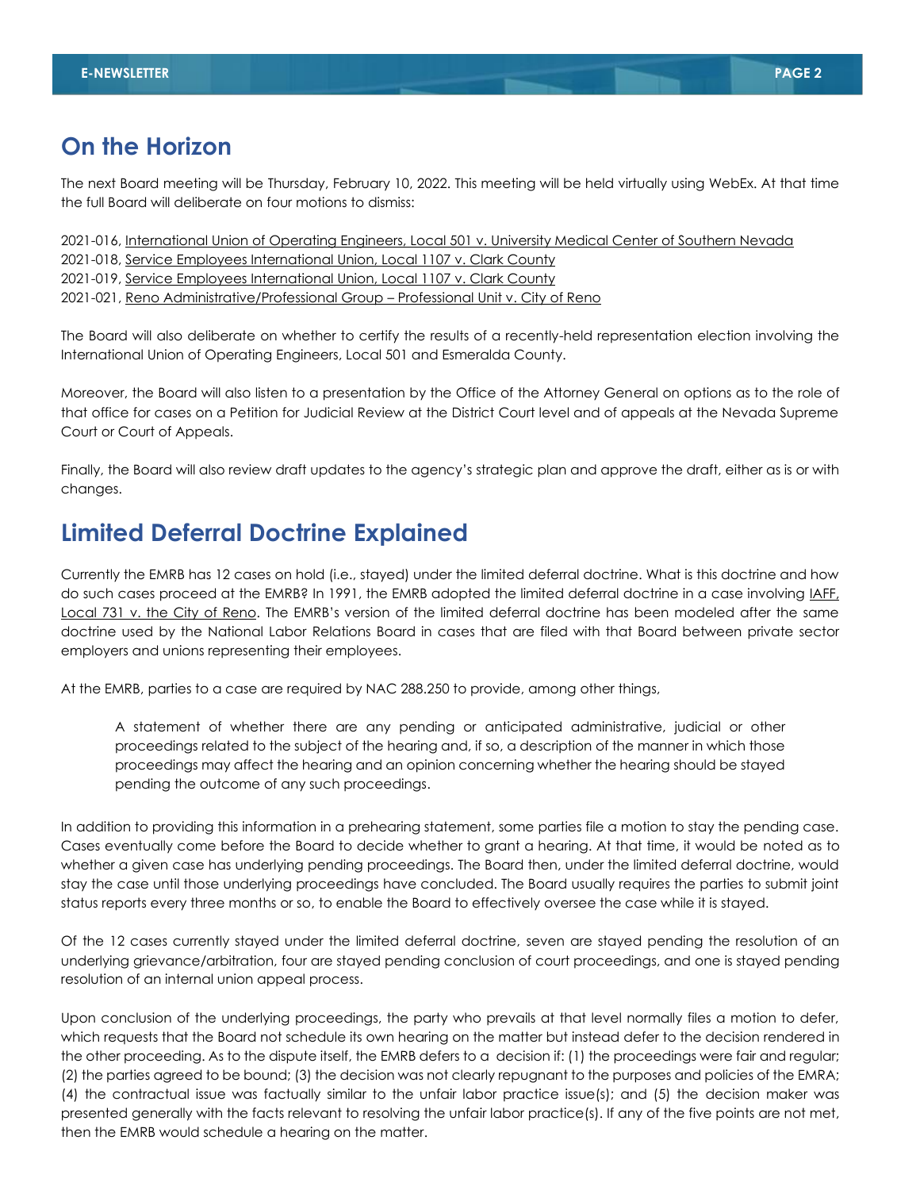### **On the Horizon**

The next Board meeting will be Thursday, February 10, 2022. This meeting will be held virtually using WebEx. At that time the full Board will deliberate on four motions to dismiss:

2021-016, International Union of Operating Engineers, Local 501 v. University Medical Center of Southern Nevada

2021-018, Service Employees International Union, Local 1107 v. Clark County

2021-019, Service Employees International Union, Local 1107 v. Clark County

2021-021, Reno Administrative/Professional Group – Professional Unit v. City of Reno

The Board will also deliberate on whether to certify the results of a recently-held representation election involving the International Union of Operating Engineers, Local 501 and Esmeralda County.

Moreover, the Board will also listen to a presentation by the Office of the Attorney General on options as to the role of that office for cases on a Petition for Judicial Review at the District Court level and of appeals at the Nevada Supreme Court or Court of Appeals.

Finally, the Board will also review draft updates to the agency's strategic plan and approve the draft, either as is or with changes.

### **Limited Deferral Doctrine Explained**

Currently the EMRB has 12 cases on hold (i.e., stayed) under the limited deferral doctrine. What is this doctrine and how do such cases proceed at the EMRB? In 1991, the EMRB adopted the limited deferral doctrine in a case involving IAFF, Local 731 v. the City of Reno. The EMRB's version of the limited deferral doctrine has been modeled after the same doctrine used by the National Labor Relations Board in cases that are filed with that Board between private sector employers and unions representing their employees.

At the EMRB, parties to a case are required by NAC 288.250 to provide, among other things,

A statement of whether there are any pending or anticipated administrative, judicial or other proceedings related to the subject of the hearing and, if so, a description of the manner in which those proceedings may affect the hearing and an opinion concerning whether the hearing should be stayed pending the outcome of any such proceedings.

In addition to providing this information in a prehearing statement, some parties file a motion to stay the pending case. Cases eventually come before the Board to decide whether to grant a hearing. At that time, it would be noted as to whether a given case has underlying pending proceedings. The Board then, under the limited deferral doctrine, would stay the case until those underlying proceedings have concluded. The Board usually requires the parties to submit joint status reports every three months or so, to enable the Board to effectively oversee the case while it is stayed.

Of the 12 cases currently stayed under the limited deferral doctrine, seven are stayed pending the resolution of an underlying grievance/arbitration, four are stayed pending conclusion of court proceedings, and one is stayed pending resolution of an internal union appeal process.

Upon conclusion of the underlying proceedings, the party who prevails at that level normally files a motion to defer, which requests that the Board not schedule its own hearing on the matter but instead defer to the decision rendered in the other proceeding. As to the dispute itself, the EMRB defers to a decision if: (1) the proceedings were fair and regular; (2) the parties agreed to be bound; (3) the decision was not clearly repugnant to the purposes and policies of the EMRA; (4) the contractual issue was factually similar to the unfair labor practice issue(s); and (5) the decision maker was presented generally with the facts relevant to resolving the unfair labor practice(s). If any of the five points are not met, then the EMRB would schedule a hearing on the matter.